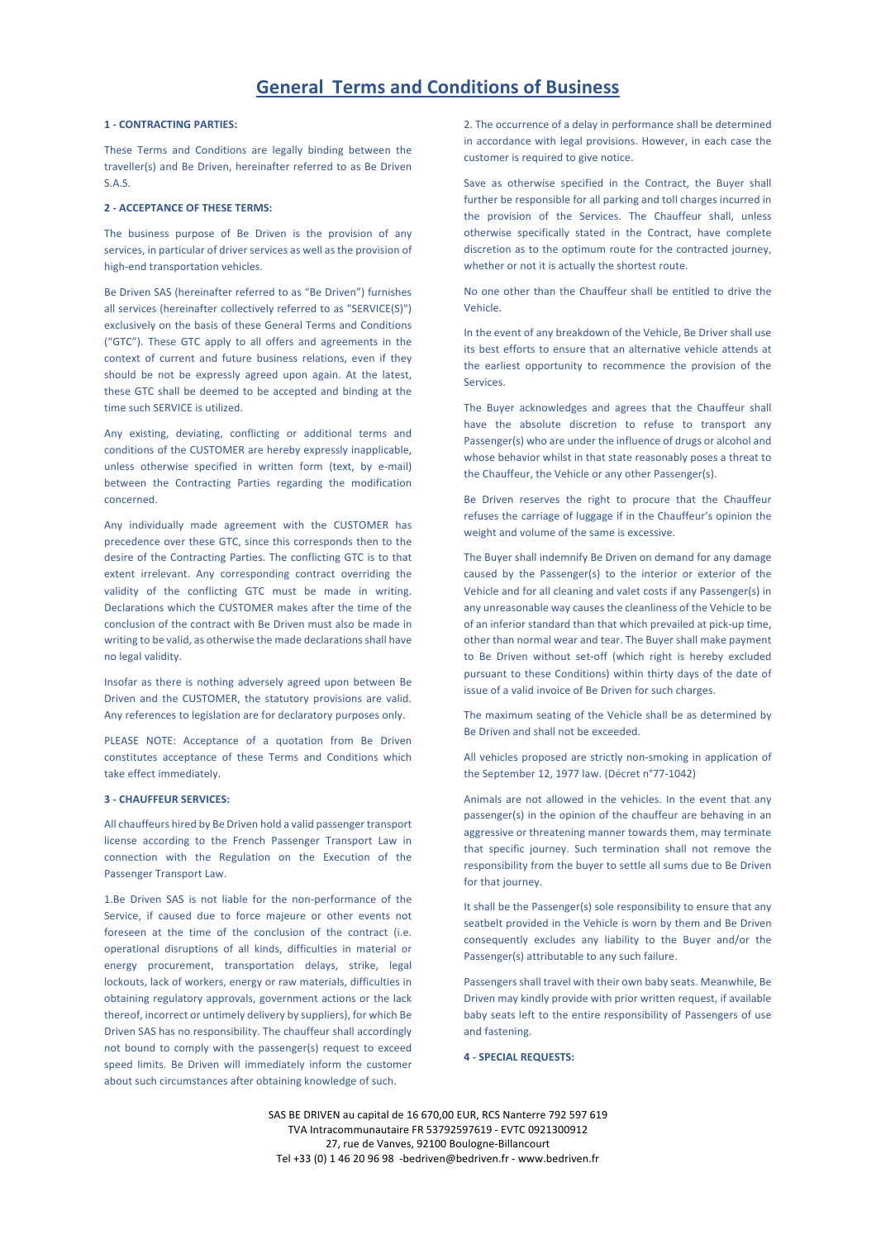# **1 - CONTRACTING PARTIES:**

These Terms and Conditions are legally binding between the traveller(s) and Be Driven, hereinafter referred to as Be Driven S.A.S.

# **2 - ACCEPTANCE OF THESE TERMS:**

The business purpose of Be Driven is the provision of any services, in particular of driver services as well as the provision of high-end transportation vehicles.

Be Driven SAS (hereinafter referred to as "Be Driven") furnishes all services (hereinafter collectively referred to as "SERVICE(S)") exclusively on the basis of these General Terms and Conditions ("GTC"). These GTC apply to all offers and agreements in the context of current and future business relations, even if they should be not be expressly agreed upon again. At the latest, these GTC shall be deemed to be accepted and binding at the time such SERVICE is utilized.

Any existing, deviating, conflicting or additional terms and conditions of the CUSTOMER are hereby expressly inapplicable, unless otherwise specified in written form (text, by e-mail) between the Contracting Parties regarding the modification concerned.

Any individually made agreement with the CUSTOMER has precedence over these GTC, since this corresponds then to the desire of the Contracting Parties. The conflicting GTC is to that extent irrelevant. Any corresponding contract overriding the validity of the conflicting GTC must be made in writing. Declarations which the CUSTOMER makes after the time of the conclusion of the contract with Be Driven must also be made in writing to be valid, as otherwise the made declarations shall have no legal validity.

Insofar as there is nothing adversely agreed upon between Be Driven and the CUSTOMER, the statutory provisions are valid. Any references to legislation are for declaratory purposes only.

PLEASE NOTE: Acceptance of a quotation from Be Driven constitutes acceptance of these Terms and Conditions which take effect immediately.

## **3 - CHAUFFEUR SERVICES:**

All chauffeurs hired by Be Driven hold a valid passenger transport license according to the French Passenger Transport Law in connection with the Regulation on the Execution of the Passenger Transport Law.

1.Be Driven SAS is not liable for the non-performance of the Service, if caused due to force majeure or other events not foreseen at the time of the conclusion of the contract (i.e. operational disruptions of all kinds, difficulties in material or energy procurement, transportation delays, strike, legal lockouts, lack of workers, energy or raw materials, difficulties in obtaining regulatory approvals, government actions or the lack thereof, incorrect or untimely delivery by suppliers), for which Be Driven SAS has no responsibility. The chauffeur shall accordingly not bound to comply with the passenger(s) request to exceed speed limits. Be Driven will immediately inform the customer about such circumstances after obtaining knowledge of such.

2. The occurrence of a delay in performance shall be determined in accordance with legal provisions. However, in each case the customer is required to give notice.

Save as otherwise specified in the Contract, the Buyer shall further be responsible for all parking and toll charges incurred in the provision of the Services. The Chauffeur shall, unless otherwise specifically stated in the Contract, have complete discretion as to the optimum route for the contracted journey, whether or not it is actually the shortest route.

No one other than the Chauffeur shall be entitled to drive the Vehicle.

In the event of any breakdown of the Vehicle, Be Driver shall use its best efforts to ensure that an alternative vehicle attends at the earliest opportunity to recommence the provision of the Services.

The Buyer acknowledges and agrees that the Chauffeur shall have the absolute discretion to refuse to transport any Passenger(s) who are under the influence of drugs or alcohol and whose behavior whilst in that state reasonably poses a threat to the Chauffeur, the Vehicle or any other Passenger(s).

Be Driven reserves the right to procure that the Chauffeur refuses the carriage of luggage if in the Chauffeur's opinion the weight and volume of the same is excessive.

The Buyer shall indemnify Be Driven on demand for any damage caused by the Passenger(s) to the interior or exterior of the Vehicle and for all cleaning and valet costs if any Passenger(s) in any unreasonable way causes the cleanliness of the Vehicle to be of an inferior standard than that which prevailed at pick-up time, other than normal wear and tear. The Buyer shall make payment to Be Driven without set-off (which right is hereby excluded pursuant to these Conditions) within thirty days of the date of issue of a valid invoice of Be Driven for such charges.

The maximum seating of the Vehicle shall be as determined by Be Driven and shall not be exceeded.

All vehicles proposed are strictly non-smoking in application of the September 12, 1977 law. (Décret n°77-1042)

Animals are not allowed in the vehicles. In the event that any passenger(s) in the opinion of the chauffeur are behaving in an aggressive or threatening manner towards them, may terminate that specific journey. Such termination shall not remove the responsibility from the buyer to settle all sums due to Be Driven for that journey.

It shall be the Passenger(s) sole responsibility to ensure that any seatbelt provided in the Vehicle is worn by them and Be Driven consequently excludes any liability to the Buyer and/or the Passenger(s) attributable to any such failure.

Passengers shall travel with their own baby seats. Meanwhile, Be Driven may kindly provide with prior written request, if available baby seats left to the entire responsibility of Passengers of use and fastening.

**4 - SPECIAL REQUESTS:**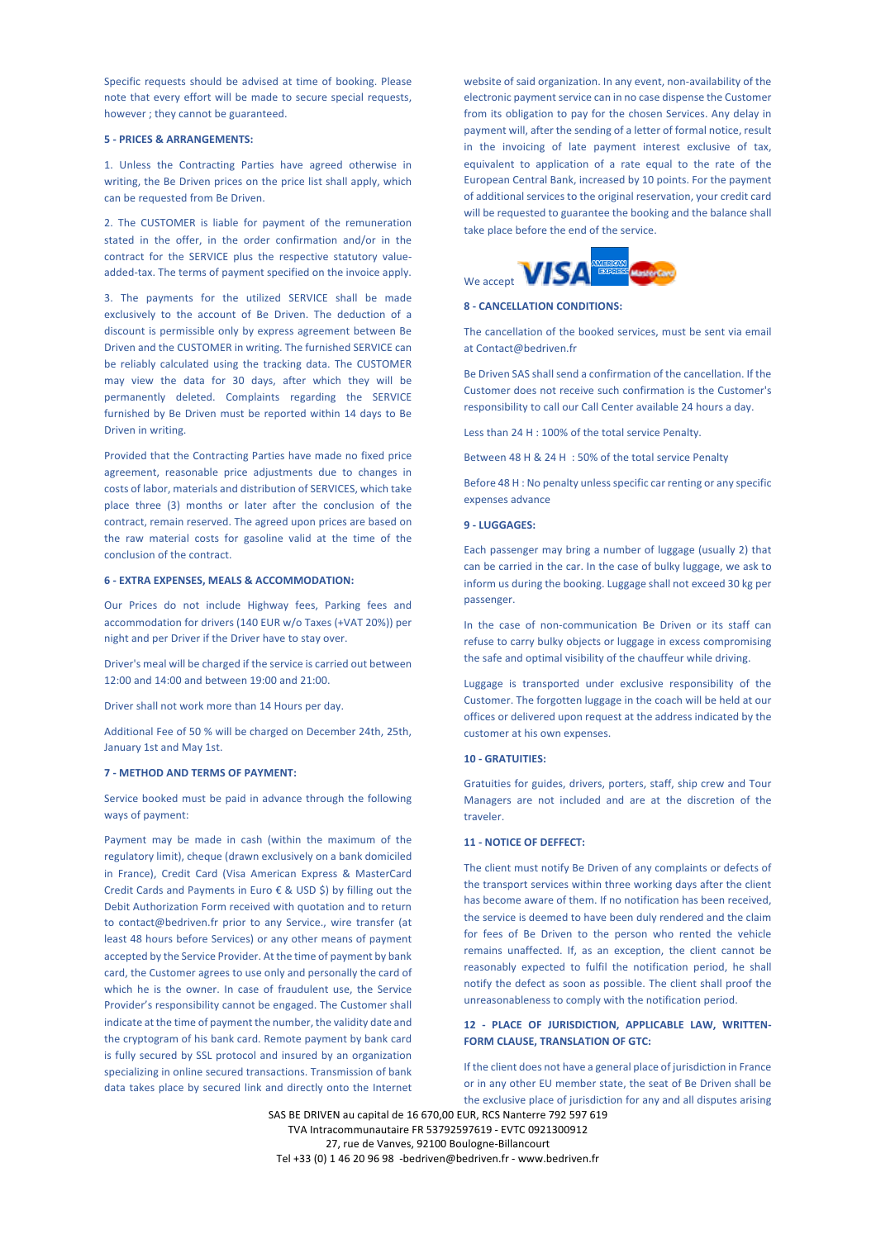Specific requests should be advised at time of booking. Please note that every effort will be made to secure special requests, however ; they cannot be guaranteed.

### **5 - PRICES & ARRANGEMENTS:**

1. Unless the Contracting Parties have agreed otherwise in writing, the Be Driven prices on the price list shall apply, which can be requested from Be Driven.

2. The CUSTOMER is liable for payment of the remuneration stated in the offer, in the order confirmation and/or in the contract for the SERVICE plus the respective statutory valueadded-tax. The terms of payment specified on the invoice apply.

3. The payments for the utilized SERVICE shall be made exclusively to the account of Be Driven. The deduction of a discount is permissible only by express agreement between Be Driven and the CUSTOMER in writing. The furnished SERVICE can be reliably calculated using the tracking data. The CUSTOMER may view the data for 30 days, after which they will be permanently deleted. Complaints regarding the SERVICE furnished by Be Driven must be reported within 14 days to Be Driven in writing.

Provided that the Contracting Parties have made no fixed price agreement, reasonable price adjustments due to changes in costs of labor, materials and distribution of SERVICES, which take place three (3) months or later after the conclusion of the contract, remain reserved. The agreed upon prices are based on the raw material costs for gasoline valid at the time of the conclusion of the contract.

### **6 - EXTRA EXPENSES, MEALS & ACCOMMODATION:**

Our Prices do not include Highway fees, Parking fees and accommodation for drivers (140 EUR w/o Taxes (+VAT 20%)) per night and per Driver if the Driver have to stay over.

Driver's meal will be charged if the service is carried out between 12:00 and 14:00 and between 19:00 and 21:00.

Driver shall not work more than 14 Hours per day.

Additional Fee of 50 % will be charged on December 24th, 25th, January 1st and May 1st.

# **7 - METHOD AND TERMS OF PAYMENT:**

Service booked must be paid in advance through the following ways of payment:

Payment may be made in cash (within the maximum of the regulatory limit), cheque (drawn exclusively on a bank domiciled in France), Credit Card (Visa American Express & MasterCard Credit Cards and Payments in Euro € & USD \$) by filling out the Debit Authorization Form received with quotation and to return to contact@bedriven.fr prior to any Service., wire transfer (at least 48 hours before Services) or any other means of payment accepted by the Service Provider. At the time of payment by bank card, the Customer agrees to use only and personally the card of which he is the owner. In case of fraudulent use, the Service Provider's responsibility cannot be engaged. The Customer shall indicate at the time of payment the number, the validity date and the cryptogram of his bank card. Remote payment by bank card is fully secured by SSL protocol and insured by an organization specializing in online secured transactions. Transmission of bank data takes place by secured link and directly onto the Internet

website of said organization. In any event, non-availability of the electronic payment service can in no case dispense the Customer from its obligation to pay for the chosen Services. Any delay in payment will, after the sending of a letter of formal notice, result in the invoicing of late payment interest exclusive of tax, equivalent to application of a rate equal to the rate of the European Central Bank, increased by 10 points. For the payment of additional services to the original reservation, your credit card will be requested to guarantee the booking and the balance shall take place before the end of the service.



#### **8 - CANCELLATION CONDITIONS:**

The cancellation of the booked services, must be sent via email at Contact@bedriven.fr

Be Driven SAS shall send a confirmation of the cancellation. If the Customer does not receive such confirmation is the Customer's responsibility to call our Call Center available 24 hours a day.

Less than 24 H : 100% of the total service Penalty.

Between 48 H & 24 H : 50% of the total service Penalty

Before 48 H : No penalty unless specific car renting or any specific expenses advance

### **9 - LUGGAGES:**

Each passenger may bring a number of luggage (usually 2) that can be carried in the car. In the case of bulky luggage, we ask to inform us during the booking. Luggage shall not exceed 30 kg per passenger.

In the case of non-communication Be Driven or its staff can refuse to carry bulky objects or luggage in excess compromising the safe and optimal visibility of the chauffeur while driving.

Luggage is transported under exclusive responsibility of the Customer. The forgotten luggage in the coach will be held at our offices or delivered upon request at the address indicated by the customer at his own expenses.

#### **10 - GRATUITIES:**

Gratuities for guides, drivers, porters, staff, ship crew and Tour Managers are not included and are at the discretion of the traveler.

### **11 - NOTICE OF DEFFECT:**

The client must notify Be Driven of any complaints or defects of the transport services within three working days after the client has become aware of them. If no notification has been received, the service is deemed to have been duly rendered and the claim for fees of Be Driven to the person who rented the vehicle remains unaffected. If, as an exception, the client cannot be reasonably expected to fulfil the notification period, he shall notify the defect as soon as possible. The client shall proof the unreasonableness to comply with the notification period.

# **12 - PLACE OF JURISDICTION, APPLICABLE LAW, WRITTEN-FORM CLAUSE, TRANSLATION OF GTC:**

If the client does not have a general place of jurisdiction in France or in any other EU member state, the seat of Be Driven shall be the exclusive place of jurisdiction for any and all disputes arising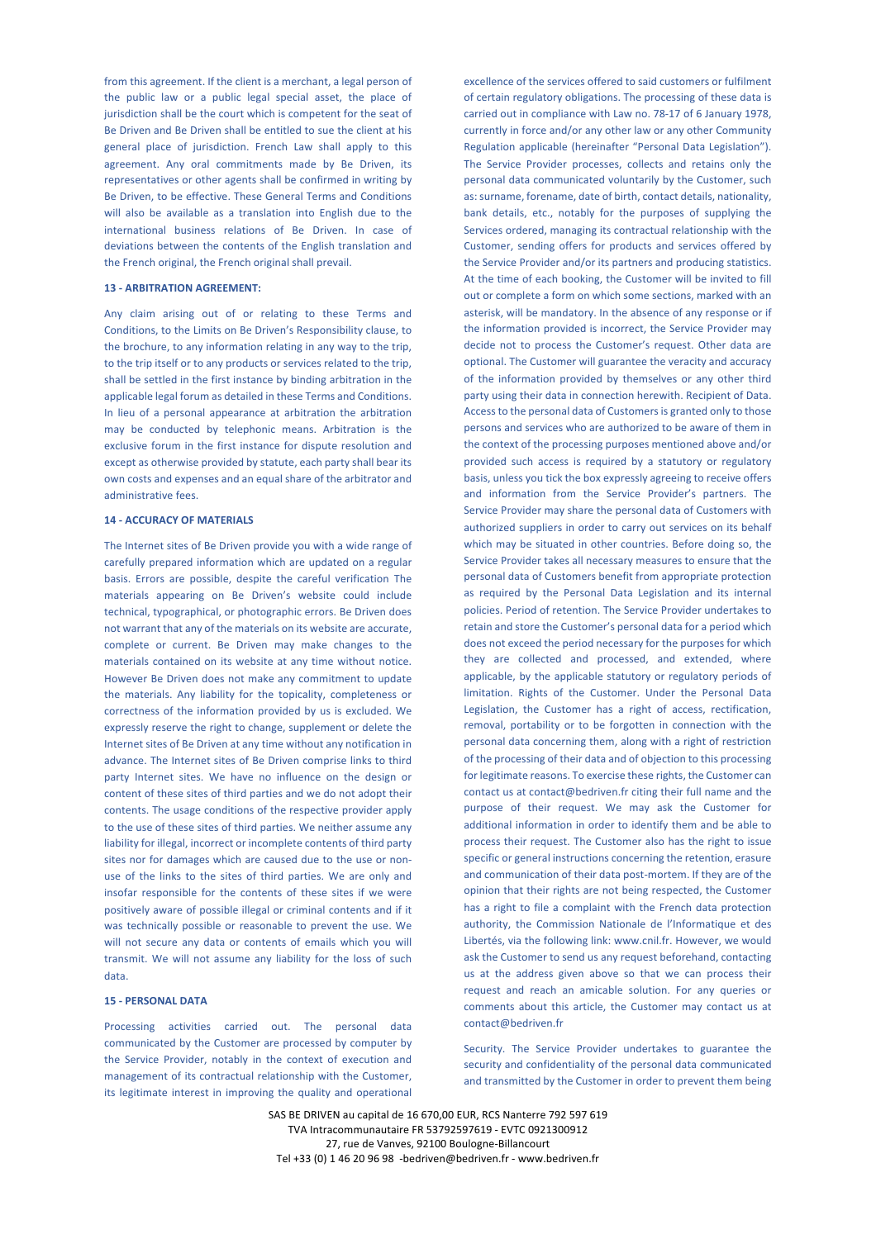from this agreement. If the client is a merchant, a legal person of the public law or a public legal special asset, the place of jurisdiction shall be the court which is competent for the seat of Be Driven and Be Driven shall be entitled to sue the client at his general place of jurisdiction. French Law shall apply to this agreement. Any oral commitments made by Be Driven, its representatives or other agents shall be confirmed in writing by Be Driven, to be effective. These General Terms and Conditions will also be available as a translation into English due to the international business relations of Be Driven. In case of deviations between the contents of the English translation and the French original, the French original shall prevail.

### **13 - ARBITRATION AGREEMENT:**

Any claim arising out of or relating to these Terms and Conditions, to the Limits on Be Driven's Responsibility clause, to the brochure, to any information relating in any way to the trip, to the trip itself or to any products or services related to the trip, shall be settled in the first instance by binding arbitration in the applicable legal forum as detailed in these Terms and Conditions. In lieu of a personal appearance at arbitration the arbitration may be conducted by telephonic means. Arbitration is the exclusive forum in the first instance for dispute resolution and except as otherwise provided by statute, each party shall bear its own costs and expenses and an equal share of the arbitrator and administrative fees.

### **14 - ACCURACY OF MATERIALS**

The Internet sites of Be Driven provide you with a wide range of carefully prepared information which are updated on a regular basis. Errors are possible, despite the careful verification The materials appearing on Be Driven's website could include technical, typographical, or photographic errors. Be Driven does not warrant that any of the materials on its website are accurate, complete or current. Be Driven may make changes to the materials contained on its website at any time without notice. However Be Driven does not make any commitment to update the materials. Any liability for the topicality, completeness or correctness of the information provided by us is excluded. We expressly reserve the right to change, supplement or delete the Internet sites of Be Driven at any time without any notification in advance. The Internet sites of Be Driven comprise links to third party Internet sites. We have no influence on the design or content of these sites of third parties and we do not adopt their contents. The usage conditions of the respective provider apply to the use of these sites of third parties. We neither assume any liability for illegal, incorrect or incomplete contents of third party sites nor for damages which are caused due to the use or nonuse of the links to the sites of third parties. We are only and insofar responsible for the contents of these sites if we were positively aware of possible illegal or criminal contents and if it was technically possible or reasonable to prevent the use. We will not secure any data or contents of emails which you will transmit. We will not assume any liability for the loss of such data.

# **15 - PERSONAL DATA**

Processing activities carried out. The personal data communicated by the Customer are processed by computer by the Service Provider, notably in the context of execution and management of its contractual relationship with the Customer, its legitimate interest in improving the quality and operational

excellence of the services offered to said customers or fulfilment of certain regulatory obligations. The processing of these data is carried out in compliance with Law no. 78-17 of 6 January 1978, currently in force and/or any other law or any other Community Regulation applicable (hereinafter "Personal Data Legislation"). The Service Provider processes, collects and retains only the personal data communicated voluntarily by the Customer, such as: surname, forename, date of birth, contact details, nationality, bank details, etc., notably for the purposes of supplying the Services ordered, managing its contractual relationship with the Customer, sending offers for products and services offered by the Service Provider and/or its partners and producing statistics. At the time of each booking, the Customer will be invited to fill out or complete a form on which some sections, marked with an asterisk, will be mandatory. In the absence of any response or if the information provided is incorrect, the Service Provider may decide not to process the Customer's request. Other data are optional. The Customer will guarantee the veracity and accuracy of the information provided by themselves or any other third party using their data in connection herewith. Recipient of Data. Access to the personal data of Customers is granted only to those persons and services who are authorized to be aware of them in the context of the processing purposes mentioned above and/or provided such access is required by a statutory or regulatory basis, unless you tick the box expressly agreeing to receive offers and information from the Service Provider's partners. The Service Provider may share the personal data of Customers with authorized suppliers in order to carry out services on its behalf which may be situated in other countries. Before doing so, the Service Provider takes all necessary measures to ensure that the personal data of Customers benefit from appropriate protection as required by the Personal Data Legislation and its internal policies. Period of retention. The Service Provider undertakes to retain and store the Customer's personal data for a period which does not exceed the period necessary for the purposes for which they are collected and processed, and extended, where applicable, by the applicable statutory or regulatory periods of limitation. Rights of the Customer. Under the Personal Data Legislation, the Customer has a right of access, rectification, removal, portability or to be forgotten in connection with the personal data concerning them, along with a right of restriction of the processing of their data and of objection to this processing for legitimate reasons. To exercise these rights, the Customer can contact us at contact@bedriven.fr citing their full name and the purpose of their request. We may ask the Customer for additional information in order to identify them and be able to process their request. The Customer also has the right to issue specific or general instructions concerning the retention, erasure and communication of their data post-mortem. If they are of the opinion that their rights are not being respected, the Customer has a right to file a complaint with the French data protection authority, the Commission Nationale de l'Informatique et des Libertés, via the following link: www.cnil.fr. However, we would ask the Customer to send us any request beforehand, contacting us at the address given above so that we can process their request and reach an amicable solution. For any queries or comments about this article, the Customer may contact us at contact@bedriven.fr

Security. The Service Provider undertakes to guarantee the security and confidentiality of the personal data communicated and transmitted by the Customer in order to prevent them being